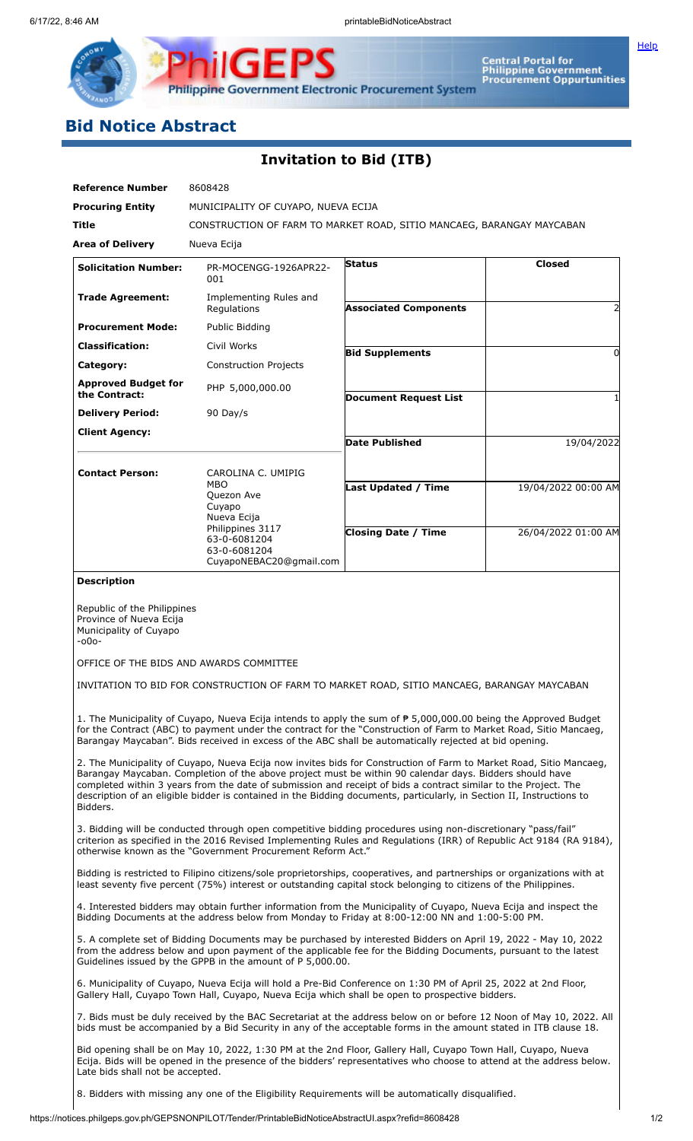**[Help](javascript:void(window.open()** 

**Philippine Government Electronic Procurement System** 

**IGEPS** 

## **Bid Notice Abstract**

₽

## **Invitation to Bid (ITB)**

| <b>Reference Number</b>                                                                                                                                                                                                                                                                                                                                                                                                                                                                | 8608428                                                                                                                   |                              |                     |
|----------------------------------------------------------------------------------------------------------------------------------------------------------------------------------------------------------------------------------------------------------------------------------------------------------------------------------------------------------------------------------------------------------------------------------------------------------------------------------------|---------------------------------------------------------------------------------------------------------------------------|------------------------------|---------------------|
| <b>Procuring Entity</b>                                                                                                                                                                                                                                                                                                                                                                                                                                                                | MUNICIPALITY OF CUYAPO, NUEVA ECIJA                                                                                       |                              |                     |
| Title                                                                                                                                                                                                                                                                                                                                                                                                                                                                                  | CONSTRUCTION OF FARM TO MARKET ROAD, SITIO MANCAEG, BARANGAY MAYCABAN                                                     |                              |                     |
| <b>Area of Delivery</b>                                                                                                                                                                                                                                                                                                                                                                                                                                                                | Nueva Ecija                                                                                                               |                              |                     |
| <b>Solicitation Number:</b>                                                                                                                                                                                                                                                                                                                                                                                                                                                            | PR-MOCENGG-1926APR22-<br>001                                                                                              | <b>Status</b>                | <b>Closed</b>       |
| <b>Trade Agreement:</b>                                                                                                                                                                                                                                                                                                                                                                                                                                                                | Implementing Rules and<br>Regulations                                                                                     | <b>Associated Components</b> |                     |
| <b>Procurement Mode:</b>                                                                                                                                                                                                                                                                                                                                                                                                                                                               | Public Bidding                                                                                                            |                              |                     |
| <b>Classification:</b>                                                                                                                                                                                                                                                                                                                                                                                                                                                                 | Civil Works                                                                                                               | <b>Bid Supplements</b>       | $\Omega$            |
| Category:                                                                                                                                                                                                                                                                                                                                                                                                                                                                              | <b>Construction Projects</b>                                                                                              |                              |                     |
| <b>Approved Budget for</b><br>the Contract:                                                                                                                                                                                                                                                                                                                                                                                                                                            | PHP 5,000,000.00                                                                                                          | <b>Document Request List</b> |                     |
| <b>Delivery Period:</b>                                                                                                                                                                                                                                                                                                                                                                                                                                                                | 90 Day/s                                                                                                                  |                              |                     |
| <b>Client Agency:</b>                                                                                                                                                                                                                                                                                                                                                                                                                                                                  |                                                                                                                           | Date Published               | 19/04/2022          |
| <b>Contact Person:</b>                                                                                                                                                                                                                                                                                                                                                                                                                                                                 | CAROLINA C. UMIPIG                                                                                                        |                              |                     |
|                                                                                                                                                                                                                                                                                                                                                                                                                                                                                        | MBO<br>Quezon Ave<br>Cuyapo<br>Nueva Ecija<br>Philippines 3117<br>63-0-6081204<br>63-0-6081204<br>CuyapoNEBAC20@gmail.com | <b>Last Updated / Time</b>   | 19/04/2022 00:00 AM |
|                                                                                                                                                                                                                                                                                                                                                                                                                                                                                        |                                                                                                                           | <b>Closing Date / Time</b>   | 26/04/2022 01:00 AM |
| <b>Description</b>                                                                                                                                                                                                                                                                                                                                                                                                                                                                     |                                                                                                                           |                              |                     |
| Republic of the Philippines<br>Province of Nueva Ecija<br>Municipality of Cuyapo<br>$-000-$<br>OFFICE OF THE BIDS AND AWARDS COMMITTEE<br>INVITATION TO BID FOR CONSTRUCTION OF FARM TO MARKET ROAD, SITIO MANCAEG, BARANGAY MAYCABAN                                                                                                                                                                                                                                                  |                                                                                                                           |                              |                     |
| 1. The Municipality of Cuyapo, Nueva Ecija intends to apply the sum of $P$ 5,000,000.00 being the Approved Budget<br>for the Contract (ABC) to payment under the contract for the "Construction of Farm to Market Road, Sitio Mancaeg,<br>Barangay Maycaban". Bids received in excess of the ABC shall be automatically rejected at bid opening.                                                                                                                                       |                                                                                                                           |                              |                     |
| 2. The Municipality of Cuyapo, Nueva Ecija now invites bids for Construction of Farm to Market Road, Sitio Mancaeg,<br>Barangay Maycaban. Completion of the above project must be within 90 calendar days. Bidders should have<br>completed within 3 years from the date of submission and receipt of bids a contract similar to the Project. The<br>description of an eligible bidder is contained in the Bidding documents, particularly, in Section II, Instructions to<br>Bidders. |                                                                                                                           |                              |                     |
| 3. Bidding will be conducted through open competitive bidding procedures using non-discretionary "pass/fail"<br>criterion as specified in the 2016 Revised Implementing Rules and Regulations (IRR) of Republic Act 9184 (RA 9184),<br>otherwise known as the "Government Procurement Reform Act."                                                                                                                                                                                     |                                                                                                                           |                              |                     |
| Bidding is restricted to Filipino citizens/sole proprietorships, cooperatives, and partnerships or organizations with at<br>least seventy five percent (75%) interest or outstanding capital stock belonging to citizens of the Philippines.                                                                                                                                                                                                                                           |                                                                                                                           |                              |                     |
| 4. Interested bidders may obtain further information from the Municipality of Cuyapo, Nueva Ecija and inspect the<br>Bidding Documents at the address below from Monday to Friday at 8:00-12:00 NN and 1:00-5:00 PM.                                                                                                                                                                                                                                                                   |                                                                                                                           |                              |                     |
| 5. A complete set of Bidding Documents may be purchased by interested Bidders on April 19, 2022 - May 10, 2022<br>from the address below and upon payment of the applicable fee for the Bidding Documents, pursuant to the latest<br>Guidelines issued by the GPPB in the amount of P 5,000.00.                                                                                                                                                                                        |                                                                                                                           |                              |                     |
| 6. Municipality of Cuyapo, Nueva Ecija will hold a Pre-Bid Conference on 1:30 PM of April 25, 2022 at 2nd Floor,<br>Gallery Hall, Cuyapo Town Hall, Cuyapo, Nueva Ecija which shall be open to prospective bidders.                                                                                                                                                                                                                                                                    |                                                                                                                           |                              |                     |
| 7. Bids must be duly received by the BAC Secretariat at the address below on or before 12 Noon of May 10, 2022. All<br>bids must be accompanied by a Bid Security in any of the acceptable forms in the amount stated in ITB clause 18.                                                                                                                                                                                                                                                |                                                                                                                           |                              |                     |
| Bid opening shall be on May 10, 2022, 1:30 PM at the 2nd Floor, Gallery Hall, Cuyapo Town Hall, Cuyapo, Nueva<br>Ecija. Bids will be opened in the presence of the bidders' representatives who choose to attend at the address below.<br>Late bids shall not be accepted.                                                                                                                                                                                                             |                                                                                                                           |                              |                     |

8. Bidders with missing any one of the Eligibility Requirements will be automatically disqualified.